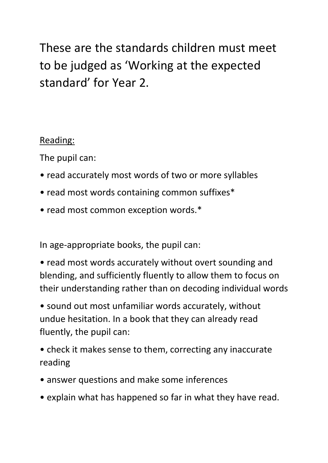These are the standards children must meet to be judged as 'Working at the expected standard' for Year 2.

Reading:

The pupil can:

- read accurately most words of two or more syllables
- read most words containing common suffixes\*
- read most common exception words.\*

In age-appropriate books, the pupil can:

• read most words accurately without overt sounding and blending, and sufficiently fluently to allow them to focus on their understanding rather than on decoding individual words

• sound out most unfamiliar words accurately, without undue hesitation. In a book that they can already read fluently, the pupil can:

• check it makes sense to them, correcting any inaccurate reading

- answer questions and make some inferences
- explain what has happened so far in what they have read.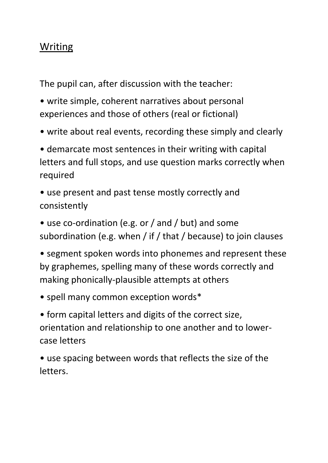## Writing

The pupil can, after discussion with the teacher:

• write simple, coherent narratives about personal experiences and those of others (real or fictional)

• write about real events, recording these simply and clearly

• demarcate most sentences in their writing with capital letters and full stops, and use question marks correctly when required

• use present and past tense mostly correctly and consistently

• use co-ordination (e.g. or / and / but) and some subordination (e.g. when / if / that / because) to join clauses

• segment spoken words into phonemes and represent these by graphemes, spelling many of these words correctly and making phonically-plausible attempts at others

• spell many common exception words\*

• form capital letters and digits of the correct size, orientation and relationship to one another and to lowercase letters

• use spacing between words that reflects the size of the letters.